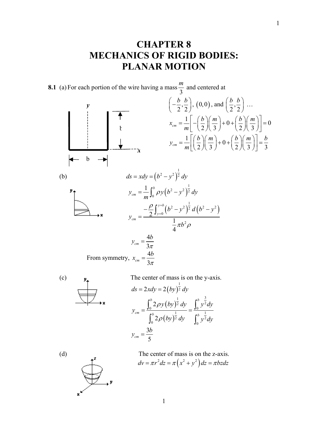## **CHAPTER 8 MECHANICS OF RIGID BODIES: PLANAR MOTION**

1

**8.1** (a) For each portion of the wire having a mass  $\frac{m}{2}$  and centered at





(c)  $\mathbf{v}$  The center of mass is on the y-axis.  $(by)$  $ds = 2xdy = 2(by)^{\frac{1}{2}}dy$  $(by)$  $(by)$ 1  $\frac{3}{2}$  $\bar{2} dv \quad v^2$  $0 \t 0 \t 0 \t 0$  $\frac{1}{1}$   $\frac{1}{1}$ 2 dy  $\int_{1}^{2}$  $0$   $(2)$   $1_0$ 2 2  $b$   $\frac{1}{2}$   $b$  $c$  *cm*  $\begin{bmatrix} b & b \\ c & c \end{bmatrix}$   $\begin{bmatrix} 1 & b \\ c & d \end{bmatrix}$  $y(by)^{\frac{1}{2}}dy$   $\int y^2dy$ *y by*  $\int^b 2 dy$   $\int^b y^2 dy$ ρ ρ  $=\frac{\int_0^b 2\rho y \, (by)^2 \, dy}{\int_0^b 1} = \frac{\int_0^b 1 \, dy}{\int_0^b 1}$  $\int_0^b 2\rho(by)^{\frac{1}{2}} dy$   $\int_0^b$  $y_{cm} = \frac{3b}{5}$ 



(d) The center of mass is on the z-axis.  $dv = \pi r^2 dz = \pi (x^2 + y^2) dz = \pi b z dz$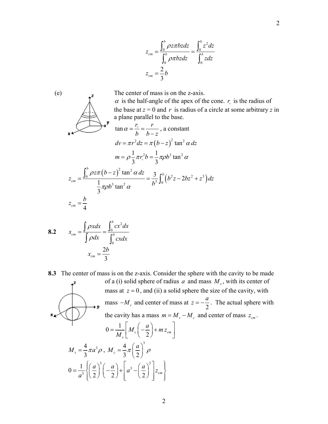$$
z_{cm} = \frac{1}{\int_0^b \rho \pi b z dz} = \frac{1}{\int_0^b z dz}
$$

$$
z_{cm} = \frac{2}{3}b
$$

 (e) The center of mass is on the z-axis.  $\alpha$  is the half-angle of the apex of the cone.  $r_{\rm s}$  is the radius of the base at  $z = 0$  and r is radius of a circle at some arbitrary z in



$$
8.2 \t x_{cm} = \frac{\int \rho x dx}{\int \rho dx} = \frac{\int_0^b cx^2 dx}{\int_0^b cx dx}
$$

$$
x_{cm} = \frac{2b}{3}
$$

**8.3** The center of mass is on the z-axis. Consider the sphere with the cavity to be made of a (i) solid sphere of radius  $a$  and mass  $M_s$ , with its center of mass at  $z = 0$ , and (ii) a solid sphere the size of the cavity, with mass  $-M_c$  and center of mass at  $z = -\frac{a}{2}$  $z = -\frac{a}{z}$ . The actual sphere with the cavity has a mass  $m = M_s - M_c$  and center of mass  $z_{cm}$ .

$$
0 = \frac{1}{M_s} \left[ M_c \left( -\frac{a}{2} \right) + m z_{cm} \right]
$$
  

$$
M_s = \frac{4}{3} \pi a^3 \rho , M_c = \frac{4}{3} \pi \left( \frac{a}{2} \right)^3 \rho
$$
  

$$
0 = \frac{1}{a^3} \left\{ \left( \frac{a}{2} \right)^3 \left( -\frac{a}{2} \right) + \left[ a^3 - \left( \frac{a}{2} \right)^3 \right] z_{cm} \right\}
$$

2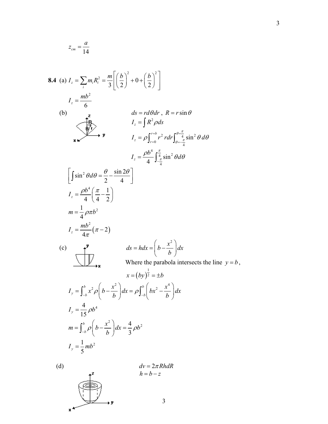$$
z_{cm} = \frac{a}{14}
$$

8.4 (a) 
$$
I_z = \sum_{i} m_i R_i^2 = \frac{m}{3} \left[ \left( \frac{b}{2} \right)^2 + 0 + \left( \frac{b}{2} \right)^2 \right]
$$
  
\n $I_z = \frac{mb^2}{6}$   
\n(b)  $\frac{a}{b}$   $ds = r d\theta dr$ ,  $R = r \sin \theta$   
\n $I_z = \int R^2 \rho ds$   
\n $I_z = \rho \int_{r=0}^{r=b} r^2 r dr \int_{\theta = -\frac{\pi}{4}}^{\theta = \frac{\pi}{4}} \sin^2 \theta d\theta$   
\n $I_z = \frac{\rho b^4}{4} \int_{-\frac{\pi}{4}}^{\frac{\pi}{4}} \sin^2 \theta d\theta$   
\n $I_z = \frac{\rho b^4}{4} \left( \frac{\pi}{4} - \frac{1}{2} \right)$   
\n $m = \frac{1}{4} \rho \pi b^2$   
\n $I_z = \frac{mb^2}{4\pi} (\pi - 2)$   
\n(c)  $\frac{v}{dx}$   $ds = h dx = \left( b - \frac{x^2}{b} \right) dx$   
\nWhere the parabola intersects the line  $y = b$ ,  
\n $x = (by)^{\frac{1}{2}} = \pm b$   
\n $I_y = \int_{-b}^{b} x^2 \rho \left( b - \frac{x^2}{b} \right) dx = \rho \int_{-b}^{b} \left( bx^2 - \frac{x^4}{b} \right) dx$   
\n $I_y = \frac{4}{15} \rho b^4$   
\n $m = \int_{-b}^{b} \rho \left( b - \frac{x^2}{b} \right) dx = \frac{4}{3} \rho b^2$   
\n $I_y = \frac{1}{5} mb^2$   
\n(d)  $dv = 2\pi Rh dR$ 

 $h = b - z$ 

3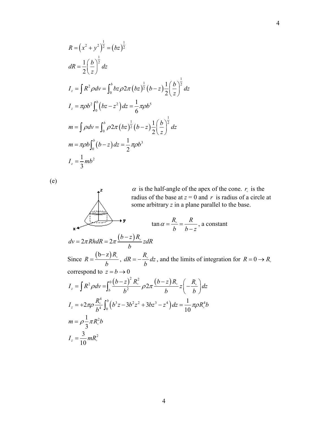$$
R = (x^2 + y^2)^{\frac{1}{2}} = (bz)^{\frac{1}{2}}
$$
  
\n
$$
dR = \frac{1}{2} \left(\frac{b}{z}\right)^{\frac{1}{2}} dz
$$
  
\n
$$
I_z = \int R^2 \rho dv = \int_0^b b z \rho 2\pi (bz)^{\frac{1}{2}} (b - z) \frac{1}{2} \left(\frac{b}{z}\right)^{\frac{1}{2}} dz
$$
  
\n
$$
I_z = \pi \rho b^2 \int_0^b (bz - z^2) dz = \frac{1}{6} \pi \rho b^5
$$
  
\n
$$
m = \int \rho dv = \int_0^b \rho 2\pi (bz)^{\frac{1}{2}} (b - z) \frac{1}{2} \left(\frac{b}{z}\right)^{\frac{1}{2}} dz
$$
  
\n
$$
m = \pi \rho b \int_0^b (b - z) dz = \frac{1}{2} \pi \rho b^3
$$
  
\n
$$
I_z = \frac{1}{3} mb^2
$$

(e)

 $\alpha$  is the half-angle of the apex of the cone.  $r_{\circ}$  is the radius of the base at  $z = 0$  and r is radius of a circle at some arbitrary *z* in a plane parallel to the base.

$$
\tan \alpha = \frac{R_{\circ}}{b} = \frac{R}{b-z}
$$
, a constant

$$
dv = 2\pi Rh dR = 2\pi \frac{(b-z)R_{\circ}}{b} z dR
$$

Since  $R = \frac{(b-z)R_s}{i}$ ,  $dR = -\frac{R_s}{i}dz$ , and the limits of integration for correspond to  $z = b \rightarrow 0$ *b*  $\frac{(-z)R_{\circ}}{dz}$ ,  $dR = -\frac{R_{\circ}}{dz}dz$  $=-\frac{R_{\circ}}{b}dz$ , and the limits of integration for  $R = 0 \rightarrow R_{\circ}$ 

$$
I_z = \int R^2 \rho dv = \int_b^0 \frac{(b-z)^2 R_\circ^2}{b^2} \rho 2\pi \frac{(b-z)R_\circ}{b} z \left(-\frac{R_\circ}{b}\right) dz
$$
  
\n
$$
I_z = +2\pi \rho \frac{R_\circ^4}{b^4} \int_0^b (b^3 z - 3b^2 z^2 + 3bz^3 - z^4) dz = \frac{1}{10} \pi \rho R_\circ^4 b
$$
  
\n
$$
m = \rho \frac{1}{3} \pi R_\circ^2 b
$$
  
\n
$$
I_z = \frac{3}{10} m R_\circ^2
$$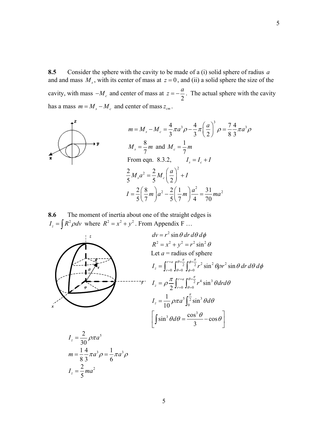**8.5** Consider the sphere with the cavity to be made of a (i) solid sphere of radius *a* and and mass  $M<sub>s</sub>$ , with its center of mass at  $z = 0$ , and (ii) a solid sphere the size of the cavity, with mass  $-M_c$  and center of mass at  $z = -\frac{a}{2}$  $z = -\frac{a}{z}$ . The actual sphere with the cavity has a mass  $m = M_s - M_c$  and center of mass  $z_{cm}$ .



**8.6** The moment of inertia about one of the straight edges is  $I_z = \int R^2 \rho dv$  where  $R^2 = x^2 + y^2$ . From Appendix F ...

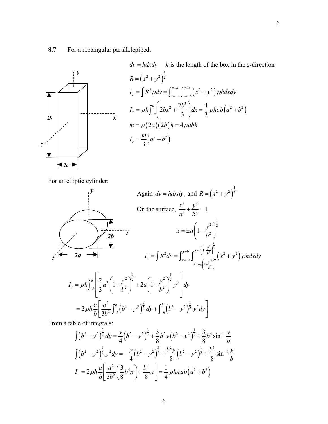## **8.7** For a rectangular parallelepiped:



$$
dv = h dx dy
$$
 h is the length of the box in the z-direction  
\n
$$
R = (x^2 + y^2)^{\frac{1}{2}}
$$
  
\n
$$
I_z = \int R^2 \rho dv = \int_{x=-a}^{x=a} \int_{y=-b}^{y=b} (x^2 + y^2) \rho h dx dy
$$
  
\n
$$
I_z = \rho h \int_{-a}^{a} \left( 2bx^2 + \frac{2b^3}{3} \right) dx = \frac{4}{3} \rho h ab \left( a^2 + b^2 \right)
$$
  
\n
$$
m = \rho (2a) (2b) h = 4 \rho abh
$$
  
\n
$$
I_z = \frac{m}{3} (a^2 + b^2)
$$

For an elliptic cylinder:



From a table of integrals:

$$
\int (b^2 - y^2)^{\frac{3}{2}} dy = \frac{y}{4} (b^2 - y^2)^{\frac{3}{2}} + \frac{3}{8} b^2 y (b^2 - y^2)^{\frac{1}{2}} + \frac{3}{8} b^4 \sin^{-1} \frac{y}{b}
$$
  

$$
\int (b^2 - y^2)^{\frac{1}{2}} y^2 dy = -\frac{y}{4} (b^2 - y^2)^{\frac{3}{2}} + \frac{b^2 y}{8} (b^2 - y^2)^{\frac{1}{2}} + \frac{b^4}{8} \sin^{-1} \frac{y}{b}
$$
  

$$
I_z = 2 \rho h \frac{a}{b} \left[ \frac{a^2}{3b^2} \left( \frac{3}{8} b^4 \pi \right) + \frac{b^4}{8} \pi \right] = \frac{1}{4} \rho h \pi a b \left( a^2 + b^2 \right)
$$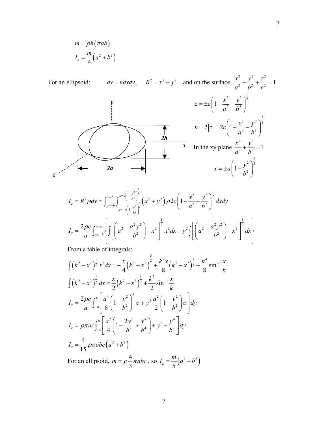$$
m = \rho h(\pi ab)
$$

$$
I_z = \frac{m}{4}(a^2 + b^2)
$$

For an ellipsoid:  $dv = h dx dy$ ,  $R^2 = x^2 + y^2$  and on the surface,  $\frac{x^2}{a^2} + \frac{y^2}{b^2} + \frac{z^2}{c^2} = 1$  $+\frac{y}{12}+\frac{z}{2}$  =  $z = \pm c \left( 1 - \frac{x^2}{a^2} - \frac{y^2}{b^2} \right)^{\frac{1}{2}}$  $\begin{pmatrix} a^2 & b^2 \end{pmatrix}$ *2b 2a y x*  $h = 2|z| = 2c\left(1 - \frac{x^2}{a^2} - \frac{y^2}{b^2}\right)^{\frac{1}{2}}$  $\begin{pmatrix} a^2 & b^2 \end{pmatrix}$ In the xy plane  $rac{x^2}{a^2} + \frac{y^2}{b^2} = 1$  $+\frac{y}{12}$  = 1  $z \sim x = \pm a \left(1 - \frac{y^2}{b^2}\right)^2$  $(x^2 + y^2)$  $\frac{1}{2}$ 2  $\frac{1}{2}$ 2  $\int_{a}^{x} 2 \, dx = \int_{a}^{x=b} \int_{a}^{x=a} \left( \frac{1-y^2}{b^2} \right)^{\frac{1}{2}} dx^2 + \frac{y^2}{2a^2} \left( \frac{y^2}{b^2} \right)^{\frac{1}{2}} dx^2 + \frac{y^2}{2a^2} \left( \frac{y^2}{b^2} \right)^{\frac{1}{2}} dx^{\frac{1}{2}}$ 2  $\mathbf{L}^2$ 1  $y=b \int_0^{x=a\left(1-\frac{y^2}{b^2}\right)^2} \left(x^2+y^2\right) \rho 2c\left(1-\frac{y^2}{b^2}\right)$  $\int_{z}^{z} -K \, \rho u \, v - \int_{y=-b}^{z=b} \int_{x=-a}^{b} \left(1 - \frac{y}{b}\right)$  $I_z = R^2 \rho dv = \int_{y=b}^{y=b} \int_{y=\sqrt{b}}^{x=a\left(1-\frac{y^2}{b^2}\right)^2} \left(x^2 + y^2\right) \rho 2c\left(1-\frac{x^2}{a^2}-\frac{y^2}{b^2}\right)^2 dx dy$  $=-b \int x=-a\left(1-\frac{y^2}{b^2}\right)$  $= R^2 \rho dv = \int_{y=-b}^{y=b} \int_{x=-a}^{x=a} \left( \frac{1-y^2}{b^2} \right) \left[ x^2 + y^2 \right] \rho 2c \left( 1 - \frac{x^2}{a^2} - \frac{y^2}{b^2} \right)$ 1 1

$$
I_z = \frac{2\rho c}{a} \int_{y=b}^{y=b} \left\{ \int \left[ \left( a^2 - \frac{a^2 y^2}{b^2} \right) - x^2 \right]^{\frac{1}{2}} x^2 dx + y^2 \int \left[ \left( a^2 - \frac{a^2 y^2}{b^2} \right) - x^2 \right]^{\frac{1}{2}} dx \right\}
$$

From a table of integrals:

$$
\int (k^2 - x^2)^{\frac{1}{2}} x^2 dx = -\frac{x}{4} (k^2 - x^2)^{\frac{3}{2}} + \frac{k^2 x}{8} (k^2 - x^2)^{\frac{1}{2}} + \frac{k^4}{8} \sin^{-1} \frac{x}{k}
$$
  

$$
\int (k^2 - x^2)^{\frac{1}{2}} dx = \frac{x}{2} (k^2 - x^2)^{\frac{1}{2}} + \frac{k^2}{2} \sin^{-1} \frac{x}{k}
$$
  

$$
I_z = \frac{2\rho c}{a} \int_{-b}^{b} \left[ \frac{a^4}{8} \left( 1 - \frac{y^2}{b^2} \right)^2 \pi + y^2 \frac{a^2}{2} \left( 1 - \frac{y^2}{b^2} \right) \pi \right] dy
$$
  

$$
I_z = \rho \pi a c \int_{-b}^{b} \left[ \frac{a^2}{4} \left( 1 - \frac{2y^2}{b^2} + \frac{y^4}{b^4} \right) + y^2 - \frac{y^4}{b^2} \right] dy
$$
  

$$
I_z = \frac{4}{15} \rho \pi a b c \left( a^2 + b^2 \right)
$$
  
For an ellipsoid,  $m = \rho \frac{4}{3} \pi a b c$ , so  $I_z = \frac{m}{5} (a^2 + b^2)$ 

7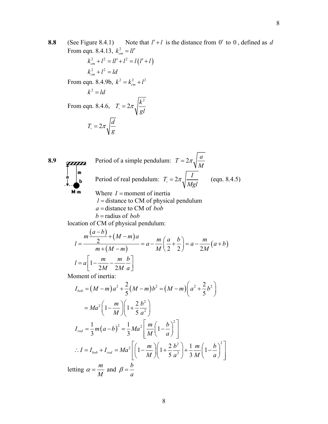- **8.8** (See Figure 8.4.1) Note that *l*′ + *l* is the distance from 0′ to 0 , defined as *d* From eqn. 8.4.13,  $k_{cm}^2 = ll'$
- $k_{cm}^{2} + l^{2} = ll' + l^{2} = l(l' + l)$  $k_{cm}^{2} + l^{2} = ld$ From eqn. 8.4.9b,  $k^2 = k_{cm}^2 + l^2$  $k^2 = ld$ From eqn. 8.4.6,  $2\pi\sqrt{k^2}$  $T_{\circ} = 2\pi \sqrt{\frac{\kappa}{gl}}$  $T_{\circ} = 2\pi \sqrt{\frac{d}{d}}$  $T_{\circ} = 2\pi \sqrt{\frac{a}{g}}$
- **8.9** Period of a simple pendulum:  $T = 2\pi \sqrt{\frac{a}{M}}$ Period of real pendulum:  $T_{\circ} = 2\pi \sqrt{\frac{I}{Mgl}}$  (eqn. 8.4.5) M-m Where  $I =$  moment of inertia  $l =$  distance to CM of physical pendulum *a* = distance to CM of *bob b* = radius of *bob* location of CM of physical pendulum:  $=\frac{m\frac{(a-b)}{2}+(M-m)a}{m+(M-m)}=a-\frac{m}{M}\left(\frac{a}{2}+\frac{b}{2}\right)=a-\frac{m}{2M}(a+b)$  $\frac{(a-b)}{2} + (M-m)$  $a - b$  $l = \frac{m\frac{(a-b)}{2} + (M-m)a}{a} = a - \frac{m}{2} \left(\frac{a}{2} + \frac{b}{2}\right) = a - \frac{m}{2}$  $\frac{2}{m+(M-m)}$  =  $a-\frac{m}{M}\left(\frac{a}{2}+\frac{b}{2}\right)$  =  $a-\frac{m}{2M}(a+b)$  $l = a \left(1 - \frac{m}{2} - \frac{m}{2} \right)$  $= a \left[ 1 - \frac{m}{2M} - \frac{m}{2M} \frac{b}{a} \right]$  $l = a \mid 1$  $2M<sub>2</sub>$

Moment of inertia:

$$
I_{bob} = (M-m)a^2 + \frac{2}{5}(M-m)b^2 = (M-m)\left(a^2 + \frac{2}{5}b^2\right)
$$
  

$$
= Ma^2\left(1 - \frac{m}{M}\right)\left(1 + \frac{2}{5}\frac{b^2}{a^2}\right)
$$
  

$$
I_{rod} = \frac{1}{3}m(a-b)^2 = \frac{1}{3}Ma^2\left[\frac{m}{M}\left(1 - \frac{b}{a}\right)^2\right]
$$
  

$$
\therefore I = I_{bob} + I_{rod} = Ma^2\left[\left(1 - \frac{m}{M}\right)\left(1 + \frac{2}{5}\frac{b^2}{a^2}\right) + \frac{1}{3}\frac{m}{M}\left(1 - \frac{b}{a}\right)^2\right]
$$
  
letting  $\alpha = \frac{m}{M}$  and  $\beta = \frac{b}{a}$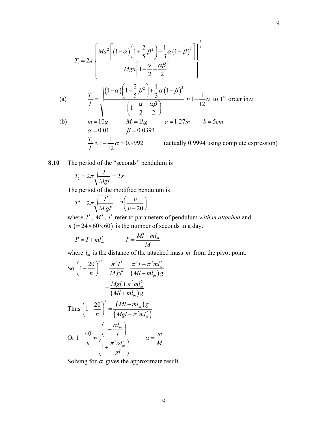$$
T_{\circ} = 2\pi \left\{ \frac{Ma^{2}\left[\left(1-\alpha\right)\left(1+\frac{2}{5}\beta^{2}\right)+\frac{1}{3}\alpha\left(1-\beta\right)^{2}\right]}{Mga\left[1-\frac{\alpha}{2}-\frac{\alpha\beta}{2}\right]} \right\}
$$
\n(a)\n
$$
\frac{T_{\circ}}{T} = \sqrt{\frac{\left(1-\alpha\right)\left(1+\frac{2}{5}\beta^{2}\right)+\frac{1}{3}\alpha\left(1-\beta\right)^{2}}{\left(1-\frac{\alpha}{2}-\frac{\alpha\beta}{2}\right)}} \approx 1-\frac{1}{12}\alpha \text{ to } 1^{st} \text{ order in } \alpha
$$
\n(b)\n
$$
m = 10g \qquad M = 1kg \qquad a = 1.27m \qquad b = 5cm
$$
\n
$$
\alpha = 0.01 \qquad \beta = 0.0394
$$
\n
$$
\frac{T_{\circ}}{T} \approx 1-\frac{1}{12}\alpha = 0.9992 \qquad \text{(actually } 0.9994 \text{ using complete expression)}
$$

**8.10** The period of the "seconds" pendulum is

$$
T_2 = 2\pi \sqrt{\frac{I}{Mgl}} = 2s
$$

The period of the modified pendulum is

$$
T' = 2\pi \sqrt{\frac{I'}{M'gl'}} = 2\left(\frac{n}{n-20}\right)
$$

where *I'*, *M'*, *l'* refer to parameters of pendulum *with m attached* and  $n (= 24 \times 60 \times 60)$  is the number of seconds in a day.

$$
I' = I + m l_m^2 \qquad \qquad l' = \frac{M l + m l_m}{M}
$$

where  $l_m$  is the distance of the attached mass  $m$  from the pivot point.

So 
$$
\left(1 - \frac{20}{n}\right)^{-2} = \frac{\pi^2 I'}{M'gl'} = \frac{\pi^2 I + \pi^2 m l_m^2}{(Ml + ml_m)g}
$$

$$
= \frac{Mgl + \pi^2 ml_m^2}{(Ml + ml_m)g}
$$
Thus 
$$
\left(1 - \frac{20}{n}\right)^2 = \frac{(Ml + ml_m)g}{(Mgl + \pi^2 ml_m^2)}
$$
Or 
$$
1 - \frac{40}{n} \approx \frac{\left(1 + \frac{\alpha l_m}{l}\right)}{\left(1 + \frac{\pi^2 \alpha l_m^2}{gl}\right)} \qquad \alpha = \frac{m}{M}
$$

Solving for  $\alpha$  gives the approximate result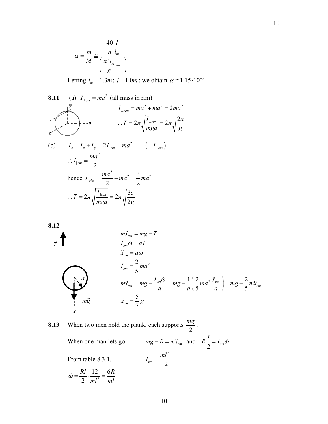$$
\alpha = \frac{m}{M} \cong \frac{\frac{40}{n} \frac{l}{l_m}}{\left(\frac{\pi^2 l_m}{g} - 1\right)}
$$

Letting  $l_m = 1.3m$ ;  $l = 1.0m$ ; we obtain  $\alpha \approx 1.15 \cdot 10^{-3}$ 

8.11 (a) 
$$
I_{\perp cm} = ma^2
$$
 (all mass in rim)  
\n $I_{\perp rim} = ma^2 + ma^2 = 2ma^2$   
\n $\therefore T = 2\pi \sqrt{\frac{I_{\perp rim}}{mga}} = 2\pi \sqrt{\frac{2a}{g}}$   
\n(b)  $I_z = I_x + I_y = 2I_{\parallel cm} = ma^2$  (=  $I_{\perp cm}$ )  
\n $\therefore I_{\parallel cm} = \frac{ma^2}{2}$   
\nhence  $I_{\parallel rim} = \frac{ma^2}{2} + ma^2 = \frac{3}{2}ma^2$   
\n $\therefore T = 2\pi \sqrt{\frac{I_{\parallel rim}}{mga}} = 2\pi \sqrt{\frac{3a}{2g}}$ 



**8.13** When two men hold the plank, each supports 2  $\frac{mg}{2}$ .

> When one man lets go:  $\frac{1}{2}$ <sup>-1</sup> cm  $R\frac{l}{2} = I_{cm}\dot{\omega}$ From table 8.3.1, 2  $\frac{1}{2}$   $\frac{1}{2}$  $I_{cm} = \frac{ml}{l}$ 2 12 6 2 *Rl R*  $ml^2$  *ml*  $\dot{\omega} = \frac{Nl}{r} \cdot \frac{12}{r^2} =$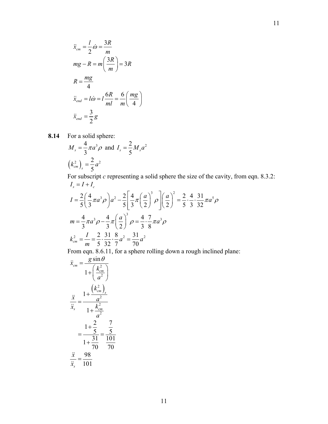$$
\ddot{x}_{cm} = \frac{l}{2}\dot{\omega} = \frac{3R}{m}
$$
\n
$$
mg - R = m\left(\frac{3R}{m}\right) = 3R
$$
\n
$$
R = \frac{mg}{4}
$$
\n
$$
\ddot{x}_{end} = l\dot{\omega} = l\frac{6R}{ml} = \frac{6}{m}\left(\frac{mg}{4}\right)
$$
\n
$$
\ddot{x}_{end} = \frac{3}{2}g
$$

**8.14** For a solid sphere:

$$
M_s = \frac{4}{3}\pi a^3 \rho \text{ and } I_s = \frac{2}{5}M_s a^2
$$
  
 $(k_{cm}^2)_s = \frac{2}{5}a^2$ 

For subscript *c* representing a solid sphere the size of the cavity, from eqn. 8.3.2:  $I_s = I + I_c$ 

$$
I = \frac{2}{5} \left( \frac{4}{3} \pi a^3 \rho \right) a^2 - \frac{2}{5} \left[ \frac{4}{3} \pi \left( \frac{a}{2} \right)^3 \rho \right] \left( \frac{a}{2} \right)^2 = \frac{2}{5} \cdot \frac{4}{3} \cdot \frac{31}{32} \pi a^5 \rho
$$
  
\n
$$
m = \frac{4}{3} \pi a^3 \rho - \frac{4}{3} \pi \left( \frac{a}{2} \right)^3 \rho = \frac{4}{3} \cdot \frac{7}{8} \pi a^3 \rho
$$
  
\n
$$
k_{cm}^2 = \frac{I}{m} = \frac{2}{5} \cdot \frac{31}{32} \cdot \frac{8}{7} a^2 = \frac{31}{70} a^2
$$

From eqn. 8.6.11, for a sphere rolling down a rough inclined plane:

$$
\ddot{x}_{cm} = \frac{g \sin \theta}{1 + \left(\frac{k_{cm}^2}{a^2}\right)}
$$
\n
$$
\frac{\ddot{x}}{\ddot{x}_s} = \frac{1 + \frac{\left(k_{cm}^2\right)}{a^2}}{1 + \frac{k_{cm}^2}{a^2}}
$$
\n
$$
= \frac{1 + \frac{2}{5}}{1 + \frac{31}{70}} = \frac{\frac{7}{5}}{\frac{101}{70}}
$$
\n
$$
\frac{\ddot{x}}{\ddot{x}_s} = \frac{98}{101}
$$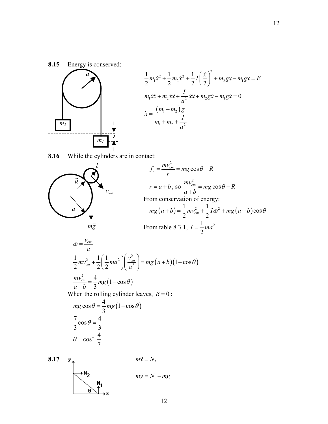

$$
\frac{1}{2}m_1\dot{x}^2 + \frac{1}{2}m_2\dot{x}^2 + \frac{1}{2}I\left(\frac{\dot{x}}{2}\right)^2 + m_2gx - m_1gx = E
$$
  
\n
$$
m_1\dot{x}\ddot{x} + m_2\dot{x}\ddot{x} + \frac{I}{a^2}\dot{x}\ddot{x} + m_2g\dot{x} - m_1g\dot{x} = 0
$$
  
\n
$$
\ddot{x} = \frac{(m_1 - m_2)g}{m_1 + m_2 + \frac{I}{a^2}}
$$

**8.16** While the cylinders are in contact:

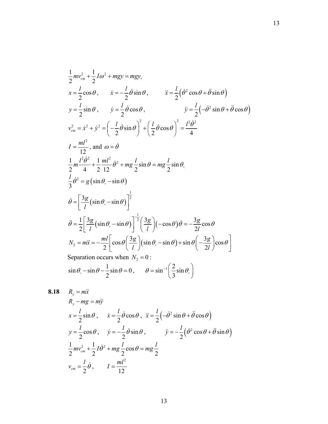$$
\frac{1}{2}mv_{cm}^{2} + \frac{1}{2}I\omega^{2} + mgy = mgy,
$$
\n
$$
x = \frac{l}{2}\cos\theta, \qquad \dot{x} = -\frac{l}{2}\dot{\theta}\sin\theta, \qquad \ddot{x} = \frac{l}{2}(\dot{\theta}^{2}\cos\theta + \ddot{\theta}\sin\theta)
$$
\n
$$
y = \frac{l}{2}\sin\theta, \qquad \dot{y} = \frac{l}{2}\dot{\theta}\cos\theta, \qquad \ddot{y} = \frac{l}{2}(-\dot{\theta}^{2}\sin\theta + \ddot{\theta}\cos\theta)
$$
\n
$$
v_{cm}^{2} = \dot{x}^{2} + \dot{y}^{2} = \left(-\frac{l}{2}\dot{\theta}\sin\theta\right)^{2} + \left(\frac{l}{2}\dot{\theta}\cos\theta\right)^{2} = \frac{l^{2}\dot{\theta}^{2}}{4}
$$
\n
$$
I = \frac{ml^{2}}{12}, \text{ and } \omega = \dot{\theta}
$$
\n
$$
\frac{1}{2}m\frac{l^{2}\dot{\theta}^{2}}{4} + \frac{1}{2}\frac{ml^{2}}{12}\dot{\theta}^{2} + mg\frac{l}{2}\sin\theta = mg\frac{l}{2}\sin\theta,
$$
\n
$$
\frac{l}{3}\dot{\theta}^{2} = g(\sin\theta_{0} - \sin\theta)
$$
\n
$$
\dot{\theta} = \left[\frac{3g}{l}(\sin\theta_{0} - \sin\theta)\right]^{1/2}
$$
\n
$$
\ddot{\theta} = \frac{1}{2}\left[\frac{3g}{l}(\sin\theta_{0} - \sin\theta)\right]^{1/2}\left(\frac{3g}{l}(-\cos\theta)\dot{\theta} = -\frac{3g}{2l}\cos\theta
$$
\n
$$
N_{2} = m\ddot{x} = -\frac{ml}{2}\left[\cos\theta\left(\frac{3g}{l}\right)(\sin\theta_{0} - \sin\theta) + \sin\theta\left(-\frac{3g}{2l}\right)\cos\theta\right]
$$
\nSeparation occurs when  $N_{2} = 0$ :  
\n
$$
\sin\theta_{0} - \sin\theta - \frac{1}{2}\sin\theta = 0, \qquad \theta = \sin^{-1}\left(\frac{2}{3}\sin\theta_{0}\right)
$$

8.18 
$$
R_x = m\ddot{x}
$$
  
\n $R_y - mg = m\ddot{y}$   
\n $x = \frac{l}{2}\sin\theta, \qquad \dot{x} = \frac{l}{2}\dot{\theta}\cos\theta, \quad \ddot{x} = \frac{l}{2}\left(-\dot{\theta}^2\sin\theta + \ddot{\theta}\cos\theta\right)$   
\n $y = \frac{l}{2}\cos\theta, \qquad \dot{y} = -\frac{l}{2}\dot{\theta}\sin\theta, \qquad \qquad \ddot{y} = -\frac{l}{2}\left(\dot{\theta}^2\cos\theta + \ddot{\theta}\sin\theta\right)$   
\n $\frac{1}{2}mv_{cm}^2 + \frac{1}{2}I\dot{\theta}^2 + mg\frac{l}{2}\cos\theta = mg\frac{l}{2}$   
\n $v_{cm} = \frac{l}{2}\dot{\theta}, \qquad I = \frac{ml^2}{12}$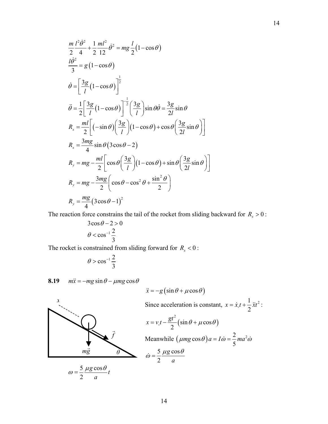$$
\frac{m}{2} \frac{l^2 \dot{\theta}^2}{4} + \frac{1}{2} \frac{ml^2}{12} \dot{\theta}^2 = mg \frac{l}{2} (1 - \cos \theta)
$$
  
\n
$$
\frac{l \dot{\theta}^2}{3} = g (1 - \cos \theta)
$$
  
\n
$$
\dot{\theta} = \left[ \frac{3g}{l} (1 - \cos \theta) \right]^{\frac{1}{2}}
$$
  
\n
$$
\ddot{\theta} = \frac{1}{2} \left[ \frac{3g}{l} (1 - \cos \theta) \right]^{-\frac{1}{2}} \left( \frac{3g}{l} \right) \sin \theta \dot{\theta} = \frac{3g}{2l} \sin \theta
$$
  
\n
$$
R_x = \frac{ml}{2} \left[ (-\sin \theta) \left( \frac{3g}{l} \right) (1 - \cos \theta) + \cos \theta \left( \frac{3g}{2l} \sin \theta \right) \right]
$$
  
\n
$$
R_x = \frac{3mg}{4} \sin \theta (3 \cos \theta - 2)
$$
  
\n
$$
R_y = mg - \frac{ml}{2} \left[ \cos \theta \left( \frac{3g}{l} \right) (1 - \cos \theta) + \sin \theta \left( \frac{3g}{2l} \sin \theta \right) \right]
$$
  
\n
$$
R_y = mg - \frac{3mg}{2} \left( \cos \theta - \cos^2 \theta + \frac{\sin^2 \theta}{2} \right)
$$
  
\n
$$
R_y = \frac{mg}{4} (3 \cos \theta - 1)^2
$$

The reaction force constrains the tail of the rocket from sliding backward for  $R_x > 0$ :

$$
3\cos\theta - 2 > 0
$$

$$
\theta < \cos^{-1}\frac{2}{3}
$$

The rocket is constrained from sliding forward for  $R_x < 0$ :

$$
\theta > \cos^{-1} \frac{2}{3}
$$

**8.19**  $m\ddot{x} = -mg\sin\theta - \mu mg\cos\theta$ 

$$
\ddot{x} = -g\left(\sin\theta + \mu\cos\theta\right)
$$



Since acceleration is constant, 
$$
x = \dot{x}_e t + \frac{1}{2} \dot{x} t^2
$$
:  
\n
$$
x = v_e t - \frac{gt^2}{2} (\sin \theta + \mu \cos \theta)
$$
\nMeanwhile  $(\mu mg \cos \theta) a = I \dot{\omega} = \frac{2}{5} ma^2 \dot{\omega}$   
\n
$$
\dot{\omega} = \frac{5}{2} \frac{\mu g \cos \theta}{a}
$$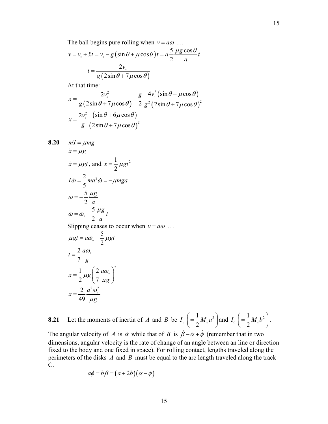The ball begins pure rolling when  $v = a\omega$  ...

$$
v = v_{0} + \ddot{x}t = v_{0} - g\left(\sin\theta + \mu\cos\theta\right)t = a\frac{5}{2}\frac{\mu g\cos\theta}{a}t
$$

$$
t = \frac{2v_{0}}{g\left(2\sin\theta + 7\mu\cos\theta\right)}
$$

At that time:

$$
x = \frac{2v^2}{g(2\sin\theta + 7\mu\cos\theta)} - \frac{g}{2}\frac{4v^2(\sin\theta + \mu\cos\theta)}{g^2(2\sin\theta + 7\mu\cos\theta)^2}
$$
  

$$
x = \frac{2v^2(\sin\theta + 6\mu\cos\theta)}{g(2\sin\theta + 7\mu\cos\theta)^2}
$$

8.20 
$$
m\ddot{x} = \mu mg
$$
  
\n $\ddot{x} = \mu g$   
\n $\dot{x} = \mu gt$ , and  $x = \frac{1}{2}\mu gt^2$   
\n $I\dot{\omega} = \frac{2}{5}ma^2\dot{\omega} = -\mu mga$   
\n $\dot{\omega} = -\frac{5}{2}\frac{\mu g}{a}$   
\n $\omega = \omega_s - \frac{5}{2}\frac{\mu g}{a}t$   
\nSlipping ceases to occur when  $v = a\omega$  ...  
\n $\mu gt = a\omega_s - \frac{5}{2}\mu gt$   
\n $t = \frac{2}{7}\frac{a\omega_s}{g}$   
\n $x = \frac{1}{2}\mu g \left(\frac{2}{7}\frac{a\omega_s}{\mu g}\right)^2$   
\n $x = \frac{2}{49}\frac{a^2\omega_s^2}{\mu g}$ 

49

C.

*g*

**8.21** Let the moments of inertia of *A* and *B* be  $I_a \left( = \frac{1}{2} M_a a^2 \right)$  and  $I_b \left( = \frac{1}{2} M_b b^2 \right)$ . The angular velocity of *A* is  $\dot{\alpha}$  while that of *B* is  $\dot{\beta} - \dot{\alpha} + \dot{\phi}$  (remember that in two dimensions, angular velocity is the rate of change of an angle between an line or direction fixed to the body and one fixed in space). For rolling contact, lengths traveled along the

perimeters of the disks *A* and *B* must be equal to the arc length traveled along the track

$$
a\phi = b\beta = (a+2b)(\alpha - \phi)
$$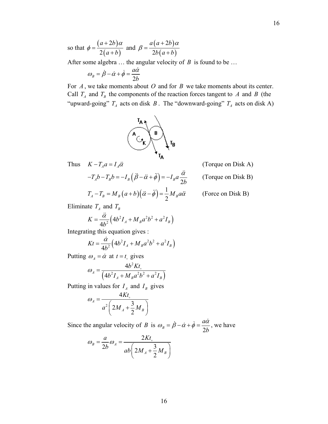16

so that  $\phi = \frac{(a+2b)}{2(a-b)}$  $(a+b)$ 2 2  $a+2b$  $a + b$  $\phi = \frac{(a+2b)\alpha}{\alpha}$  and +  $(a+2b)$  $(a+b)$ 2 2  $a(a+2b)$  $b(a+b)$  $\beta = \frac{a(a+2b)\alpha}{2b(a+b)}$ 

After some algebra … the angular velocity of *B* is found to be …

$$
\omega_B = \dot{\beta} - \dot{\alpha} + \dot{\phi} = \frac{a\dot{\alpha}}{2b}
$$

For *A* , we take moments about *O* and for *B* we take moments about its center. Call  $T_A$  and  $T_B$  the components of the reaction forces tangent to A and B (the "upward-going"  $T_A$  acts on disk  $B$ . The "downward-going"  $T_A$  acts on disk A)



Thus  $K - T_A a = I_A \ddot{\alpha}$  (Torque on Disk A)

 $-T_A b - T_B b = -I_B (\ddot{\beta} - \ddot{\alpha} + \ddot{\phi}) = -I_B a \frac{\ddot{\alpha}}{24}$  (Torque on Disk B)

$$
-T_A b - T_B b = -I_B (\beta - \ddot{\alpha} + \phi) = -I_B a \frac{\dot{\alpha}}{2b}
$$

$$
T_A - T_B = M_B (a+b)(\ddot{\alpha} - \ddot{\phi}) = \frac{1}{2} M_B a \ddot{\alpha}
$$

 $\alpha \ddot{\alpha}$  (Force on Disk B)

Eliminate  $T_A$  and  $T_B$ 

$$
K = \frac{\ddot{\alpha}}{4b^2} \left( 4b^2 I_A + M_B a^2 b^2 + a^2 I_B \right)
$$

Integrating this equation gives :

$$
Kt = \frac{\dot{\alpha}}{4b^2} \Big( 4b^2 I_A + M_B a^2 b^2 + a^2 I_B \Big)
$$

Putting  $\omega_A = \dot{\alpha}$  at  $t = t_{\text{o}}$  gives

$$
\omega_{A} = \frac{4b^{2}Kt_{\circ}}{\left(4b^{2}I_{A} + M_{B}a^{2}b^{2} + a^{2}I_{B}\right)}
$$

Putting in values for  $I_A$  and  $I_B$  gives

$$
\omega_A = \frac{4Kt_{\circ}}{a^2 \left(2M_A + \frac{3}{2}M_B\right)}
$$

Since the angular velocity of *B* is  $\omega_B = \beta - \dot{\alpha} + \phi = \frac{2\pi}{2}$ *a b*  $\omega_B = \dot{\beta} - \dot{\alpha} + \dot{\phi} = \frac{a\dot{\alpha}}{2l}$ , we have

$$
\omega_B = \frac{a}{2b} \omega_A = \frac{2Kt_{\circ}}{ab \left(2M_A + \frac{3}{2}M_B\right)}
$$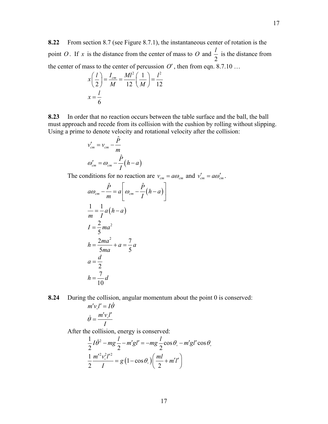**8.22** From section 8.7 (see Figure 8.7.1), the instantaneous center of rotation is the point *O* . If *x* is the distance from the center of mass to *O* and 2  $\frac{l}{2}$  is the distance from the center of mass to the center of percussion  $O'$ , then from eqn. 8.7.10 ...

$$
x\left(\frac{l}{2}\right) = \frac{I_{cm}}{M} = \frac{Ml^2}{12}\left(\frac{1}{M}\right) = \frac{l^2}{12}
$$

$$
x = \frac{l}{6}
$$

**8.23** In order that no reaction occurs between the table surface and the ball, the ball must approach and recede from its collision with the cushion by rolling without slipping. Using a prime to denote velocity and rotational velocity after the collision:

$$
v'_{cm} = v_{cm} - \frac{\hat{P}}{m}
$$

$$
\omega'_{cm} = \omega_{cm} - \frac{\hat{P}}{I} (h - a)
$$

The conditions for no reaction are  $v_{cm} = a\omega_{cm}$  and  $v'_{cm} = a\omega'_{cm}$ .

$$
a\omega_{cm} - \frac{\hat{P}}{m} = a \left[ \omega_{cm} - \frac{\hat{P}}{I} (h - a) \right]
$$
  

$$
\frac{1}{m} = \frac{1}{I} a (h - a)
$$
  

$$
I = \frac{2}{5} m a^2
$$
  

$$
h = \frac{2m a^2}{5m a} + a = \frac{7}{5} a
$$
  

$$
a = \frac{d}{2}
$$
  

$$
h = \frac{7}{10} d
$$

**8.24** During the collision, angular momentum about the point 0 is conserved:

$$
m'v_s l' = I\dot{\theta}
$$

$$
\dot{\theta} = \frac{m'v_s l'}{I}
$$

After the collision, energy is conserved:

$$
\frac{1}{2}I\dot{\theta}^2 - mg\frac{l}{2} - m'gl' = -mg\frac{l}{2}\cos\theta_s - m'gl'\cos\theta_s
$$

$$
\frac{1}{2}\frac{m'^2v_s^2l'^2}{I} = g\left(1 - \cos\theta_s\right)\left(\frac{ml}{2} + m'l'\right)
$$